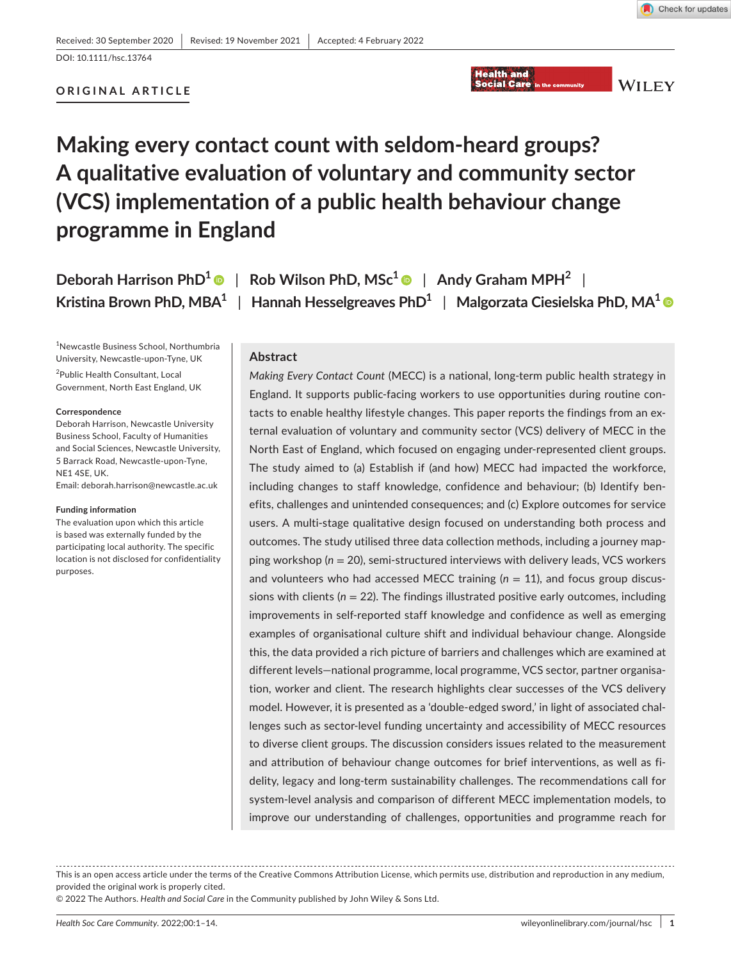## **ORIGINAL ARTICLE**



**WILEY** 

# **Making every contact count with seldom-heard groups? A qualitative evaluation of voluntary and community sector (VCS) implementation of a public health behaviour change programme in England**

**Deborah Harrison PhD[1](https://orcid.org/0000-0002-5036-6698)** | **Rob Wilson PhD, MSc1** | **Andy Graham MPH2** |

**Kristina Brown PhD, MBA1** | **Hannah Hesselgreaves PhD1** | **Malgorzata Ciesielska PhD, MA[1](https://orcid.org/0000-0003-2349-9900)**

1 Newcastle Business School, Northumbria University, Newcastle-upon-Tyne, UK 2 Public Health Consultant, Local Government, North East England, UK

#### **Correspondence**

Deborah Harrison, Newcastle University Business School, Faculty of Humanities and Social Sciences, Newcastle University, 5 Barrack Road, Newcastle-upon-Tyne, NE1 4SE, UK.

Email: [deborah.harrison@newcastle.ac.uk](mailto:deborah.harrison@newcastle.ac.uk)

#### **Funding information**

The evaluation upon which this article is based was externally funded by the participating local authority. The specific location is not disclosed for confidentiality purposes.

### **Abstract**

*Making Every Contact Count* (MECC) is a national, long-term public health strategy in England. It supports public-facing workers to use opportunities during routine contacts to enable healthy lifestyle changes. This paper reports the findings from an external evaluation of voluntary and community sector (VCS) delivery of MECC in the North East of England, which focused on engaging under-represented client groups. The study aimed to (a) Establish if (and how) MECC had impacted the workforce, including changes to staff knowledge, confidence and behaviour; (b) Identify benefits, challenges and unintended consequences; and (c) Explore outcomes for service users. A multi-stage qualitative design focused on understanding both process and outcomes. The study utilised three data collection methods, including a journey mapping workshop (*n* = 20), semi-structured interviews with delivery leads, VCS workers and volunteers who had accessed MECC training  $(n = 11)$ , and focus group discussions with clients (*n* = 22). The findings illustrated positive early outcomes, including improvements in self-reported staff knowledge and confidence as well as emerging examples of organisational culture shift and individual behaviour change. Alongside this, the data provided a rich picture of barriers and challenges which are examined at different levels—national programme, local programme, VCS sector, partner organisation, worker and client. The research highlights clear successes of the VCS delivery model. However, it is presented as a 'double-edged sword,' in light of associated challenges such as sector-level funding uncertainty and accessibility of MECC resources to diverse client groups. The discussion considers issues related to the measurement and attribution of behaviour change outcomes for brief interventions, as well as fidelity, legacy and long-term sustainability challenges. The recommendations call for system-level analysis and comparison of different MECC implementation models, to improve our understanding of challenges, opportunities and programme reach for

This is an open access article under the terms of the Creative Commons Attribution License, which permits use, distribution and reproduction in any medium, provided the original work is properly cited.

© 2022 The Authors. *Health and Social Care* in the Community published by John Wiley & Sons Ltd.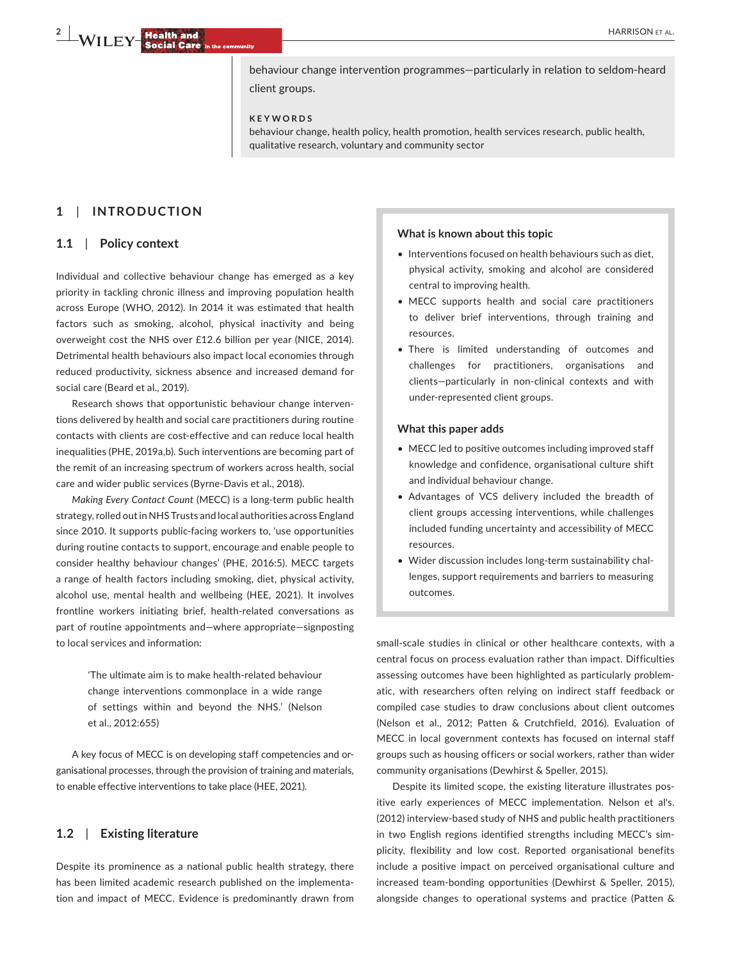**2 | WILEY HARRISON** ET AL.

behaviour change intervention programmes—particularly in relation to seldom-heard client groups.

#### **KEYWORDS**

behaviour change, health policy, health promotion, health services research, public health, qualitative research, voluntary and community sector

## **1**  | **INTRODUCTION**

#### **1.1**  | **Policy context**

Individual and collective behaviour change has emerged as a key priority in tackling chronic illness and improving population health across Europe (WHO, 2012). In 2014 it was estimated that health factors such as smoking, alcohol, physical inactivity and being overweight cost the NHS over £12.6 billion per year (NICE, 2014). Detrimental health behaviours also impact local economies through reduced productivity, sickness absence and increased demand for social care (Beard et al., 2019).

Research shows that opportunistic behaviour change interventions delivered by health and social care practitioners during routine contacts with clients are cost-effective and can reduce local health inequalities (PHE, 2019a,b). Such interventions are becoming part of the remit of an increasing spectrum of workers across health, social care and wider public services (Byrne-Davis et al., 2018).

*Making Every Contact Count* (MECC) is a long-term public health strategy, rolled out in NHS Trusts and local authorities across England since 2010. It supports public-facing workers to, 'use opportunities during routine contacts to support, encourage and enable people to consider healthy behaviour changes' (PHE, 2016:5). MECC targets a range of health factors including smoking, diet, physical activity, alcohol use, mental health and wellbeing (HEE, 2021). It involves frontline workers initiating brief, health-related conversations as part of routine appointments and—where appropriate—signposting to local services and information:

> 'The ultimate aim is to make health-related behaviour change interventions commonplace in a wide range of settings within and beyond the NHS.' (Nelson et al., 2012:655)

A key focus of MECC is on developing staff competencies and organisational processes, through the provision of training and materials, to enable effective interventions to take place (HEE, 2021).

#### **1.2**  | **Existing literature**

Despite its prominence as a national public health strategy, there has been limited academic research published on the implementation and impact of MECC. Evidence is predominantly drawn from

#### **What is known about this topic**

- Interventions focused on health behaviours such as diet, physical activity, smoking and alcohol are considered central to improving health.
- MECC supports health and social care practitioners to deliver brief interventions, through training and resources.
- There is limited understanding of outcomes and challenges for practitioners, organisations and clients—particularly in non-clinical contexts and with under-represented client groups.

#### **What this paper adds**

- MECC led to positive outcomes including improved staff knowledge and confidence, organisational culture shift and individual behaviour change.
- Advantages of VCS delivery included the breadth of client groups accessing interventions, while challenges included funding uncertainty and accessibility of MECC resources.
- Wider discussion includes long-term sustainability challenges, support requirements and barriers to measuring outcomes.

small-scale studies in clinical or other healthcare contexts, with a central focus on process evaluation rather than impact. Difficulties assessing outcomes have been highlighted as particularly problematic, with researchers often relying on indirect staff feedback or compiled case studies to draw conclusions about client outcomes (Nelson et al., 2012; Patten & Crutchfield, 2016). Evaluation of MECC in local government contexts has focused on internal staff groups such as housing officers or social workers, rather than wider community organisations (Dewhirst & Speller, 2015).

Despite its limited scope, the existing literature illustrates positive early experiences of MECC implementation. Nelson et al's. (2012) interview-based study of NHS and public health practitioners in two English regions identified strengths including MECC's simplicity, flexibility and low cost. Reported organisational benefits include a positive impact on perceived organisational culture and increased team-bonding opportunities (Dewhirst & Speller, 2015), alongside changes to operational systems and practice (Patten &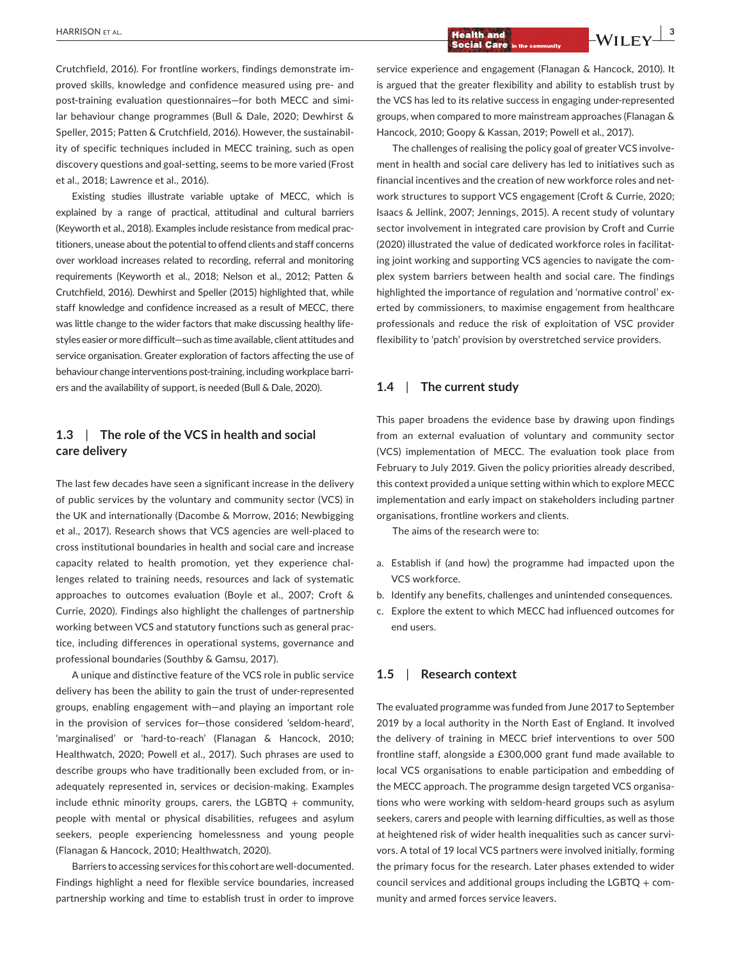Crutchfield, 2016). For frontline workers, findings demonstrate improved skills, knowledge and confidence measured using pre- and post-training evaluation questionnaires—for both MECC and similar behaviour change programmes (Bull & Dale, 2020; Dewhirst & Speller, 2015; Patten & Crutchfield, 2016). However, the sustainability of specific techniques included in MECC training, such as open discovery questions and goal-setting, seems to be more varied (Frost et al., 2018; Lawrence et al., 2016).

Existing studies illustrate variable uptake of MECC, which is explained by a range of practical, attitudinal and cultural barriers (Keyworth et al., 2018). Examples include resistance from medical practitioners, unease about the potential to offend clients and staff concerns over workload increases related to recording, referral and monitoring requirements (Keyworth et al., 2018; Nelson et al., 2012; Patten & Crutchfield, 2016). Dewhirst and Speller (2015) highlighted that, while staff knowledge and confidence increased as a result of MECC, there was little change to the wider factors that make discussing healthy lifestyles easier or more difficult—such as time available, client attitudes and service organisation. Greater exploration of factors affecting the use of behaviour change interventions post-training, including workplace barriers and the availability of support, is needed (Bull & Dale, 2020).

## **1.3**  | **The role of the VCS in health and social care delivery**

The last few decades have seen a significant increase in the delivery of public services by the voluntary and community sector (VCS) in the UK and internationally (Dacombe & Morrow, 2016; Newbigging et al., 2017). Research shows that VCS agencies are well-placed to cross institutional boundaries in health and social care and increase capacity related to health promotion, yet they experience challenges related to training needs, resources and lack of systematic approaches to outcomes evaluation (Boyle et al., 2007; Croft & Currie, 2020). Findings also highlight the challenges of partnership working between VCS and statutory functions such as general practice, including differences in operational systems, governance and professional boundaries (Southby & Gamsu, 2017).

A unique and distinctive feature of the VCS role in public service delivery has been the ability to gain the trust of under-represented groups, enabling engagement with—and playing an important role in the provision of services for—those considered 'seldom-heard', 'marginalised' or 'hard-to-reach' (Flanagan & Hancock, 2010; Healthwatch, 2020; Powell et al., 2017). Such phrases are used to describe groups who have traditionally been excluded from, or inadequately represented in, services or decision-making. Examples include ethnic minority groups, carers, the LGBTQ  $+$  community, people with mental or physical disabilities, refugees and asylum seekers, people experiencing homelessness and young people (Flanagan & Hancock, 2010; Healthwatch, 2020).

Barriers to accessing services for this cohort are well-documented. Findings highlight a need for flexible service boundaries, increased partnership working and time to establish trust in order to improve

service experience and engagement (Flanagan & Hancock, 2010). It is argued that the greater flexibility and ability to establish trust by the VCS has led to its relative success in engaging under-represented groups, when compared to more mainstream approaches (Flanagan & Hancock, 2010; Goopy & Kassan, 2019; Powell et al., 2017).

The challenges of realising the policy goal of greater VCS involvement in health and social care delivery has led to initiatives such as financial incentives and the creation of new workforce roles and network structures to support VCS engagement (Croft & Currie, 2020; Isaacs & Jellink, 2007; Jennings, 2015). A recent study of voluntary sector involvement in integrated care provision by Croft and Currie (2020) illustrated the value of dedicated workforce roles in facilitating joint working and supporting VCS agencies to navigate the complex system barriers between health and social care. The findings highlighted the importance of regulation and 'normative control' exerted by commissioners, to maximise engagement from healthcare professionals and reduce the risk of exploitation of VSC provider flexibility to 'patch' provision by overstretched service providers.

#### **1.4**  | **The current study**

This paper broadens the evidence base by drawing upon findings from an external evaluation of voluntary and community sector (VCS) implementation of MECC. The evaluation took place from February to July 2019. Given the policy priorities already described, this context provided a unique setting within which to explore MECC implementation and early impact on stakeholders including partner organisations, frontline workers and clients.

The aims of the research were to:

- a. Establish if (and how) the programme had impacted upon the VCS workforce.
- b. Identify any benefits, challenges and unintended consequences.
- c. Explore the extent to which MECC had influenced outcomes for end users.

#### **1.5**  | **Research context**

The evaluated programme was funded from June 2017 to September 2019 by a local authority in the North East of England. It involved the delivery of training in MECC brief interventions to over 500 frontline staff, alongside a £300,000 grant fund made available to local VCS organisations to enable participation and embedding of the MECC approach. The programme design targeted VCS organisations who were working with seldom-heard groups such as asylum seekers, carers and people with learning difficulties, as well as those at heightened risk of wider health inequalities such as cancer survivors. A total of 19 local VCS partners were involved initially, forming the primary focus for the research. Later phases extended to wider council services and additional groups including the LGBTQ  $+$  community and armed forces service leavers.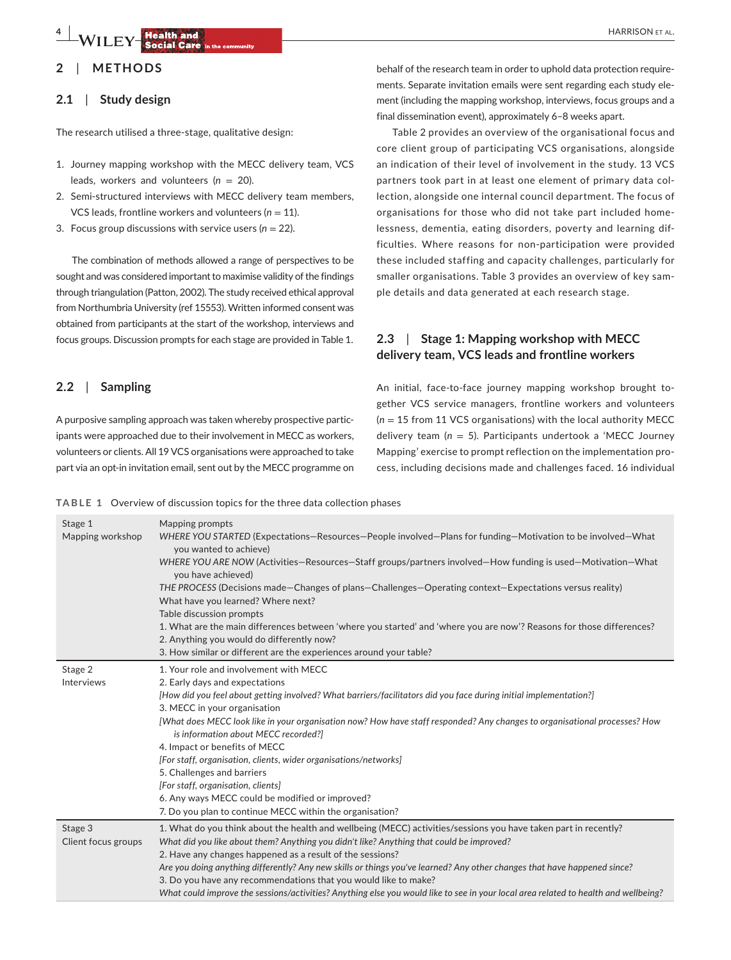# **2**  | **METHODS**

## **2.1**  | **Study design**

The research utilised a three-stage, qualitative design:

- 1. Journey mapping workshop with the MECC delivery team, VCS leads, workers and volunteers (*n* = 20).
- 2. Semi-structured interviews with MECC delivery team members, VCS leads, frontline workers and volunteers ( $n = 11$ ).
- 3. Focus group discussions with service users ( $n = 22$ ).

The combination of methods allowed a range of perspectives to be sought and was considered important to maximise validity of the findings through triangulation (Patton, 2002). The study received ethical approval from Northumbria University (ref 15553). Written informed consent was obtained from participants at the start of the workshop, interviews and focus groups. Discussion prompts for each stage are provided in Table 1.

## **2.2**  | **Sampling**

A purposive sampling approach was taken whereby prospective participants were approached due to their involvement in MECC as workers, volunteers or clients. All 19 VCS organisations were approached to take part via an opt-in invitation email, sent out by the MECC programme on

behalf of the research team in order to uphold data protection requirements. Separate invitation emails were sent regarding each study element (including the mapping workshop, interviews, focus groups and a final dissemination event), approximately 6–8 weeks apart.

Table 2 provides an overview of the organisational focus and core client group of participating VCS organisations, alongside an indication of their level of involvement in the study. 13 VCS partners took part in at least one element of primary data collection, alongside one internal council department. The focus of organisations for those who did not take part included homelessness, dementia, eating disorders, poverty and learning difficulties. Where reasons for non-participation were provided these included staffing and capacity challenges, particularly for smaller organisations. Table 3 provides an overview of key sample details and data generated at each research stage.

## **2.3**  | **Stage 1: Mapping workshop with MECC delivery team, VCS leads and frontline workers**

An initial, face-to-face journey mapping workshop brought together VCS service managers, frontline workers and volunteers  $(n = 15$  from 11 VCS organisations) with the local authority MECC delivery team (*n* = 5). Participants undertook a 'MECC Journey Mapping' exercise to prompt reflection on the implementation process, including decisions made and challenges faced. 16 individual

**TABLE 1** Overview of discussion topics for the three data collection phases

| Stage 1<br>Mapping workshop | Mapping prompts<br>WHERE YOU STARTED (Expectations–Resources–People involved–Plans for funding–Motivation to be involved–What<br>you wanted to achieve)<br>WHERE YOU ARE NOW (Activities–Resources–Staff groups/partners involved–How funding is used–Motivation–What<br>you have achieved)<br>THE PROCESS (Decisions made–Changes of plans–Challenges–Operating context–Expectations versus reality)<br>What have you learned? Where next?<br>Table discussion prompts<br>1. What are the main differences between 'where you started' and 'where you are now'? Reasons for those differences? |
|-----------------------------|-------------------------------------------------------------------------------------------------------------------------------------------------------------------------------------------------------------------------------------------------------------------------------------------------------------------------------------------------------------------------------------------------------------------------------------------------------------------------------------------------------------------------------------------------------------------------------------------------|
|                             | 2. Anything you would do differently now?<br>3. How similar or different are the experiences around your table?                                                                                                                                                                                                                                                                                                                                                                                                                                                                                 |
|                             |                                                                                                                                                                                                                                                                                                                                                                                                                                                                                                                                                                                                 |
| Stage 2                     | 1. Your role and involvement with MECC                                                                                                                                                                                                                                                                                                                                                                                                                                                                                                                                                          |
| Interviews                  | 2. Early days and expectations                                                                                                                                                                                                                                                                                                                                                                                                                                                                                                                                                                  |
|                             | [How did you feel about getting involved? What barriers/facilitators did you face during initial implementation?]                                                                                                                                                                                                                                                                                                                                                                                                                                                                               |
|                             | 3. MECC in your organisation                                                                                                                                                                                                                                                                                                                                                                                                                                                                                                                                                                    |
|                             | [What does MECC look like in your organisation now? How have staff responded? Any changes to organisational processes? How<br>is information about MECC recorded?]                                                                                                                                                                                                                                                                                                                                                                                                                              |
|                             | 4. Impact or benefits of MECC                                                                                                                                                                                                                                                                                                                                                                                                                                                                                                                                                                   |
|                             | [For staff, organisation, clients, wider organisations/networks]                                                                                                                                                                                                                                                                                                                                                                                                                                                                                                                                |
|                             | 5. Challenges and barriers                                                                                                                                                                                                                                                                                                                                                                                                                                                                                                                                                                      |
|                             | [For staff, organisation, clients]                                                                                                                                                                                                                                                                                                                                                                                                                                                                                                                                                              |
|                             | 6. Any ways MECC could be modified or improved?                                                                                                                                                                                                                                                                                                                                                                                                                                                                                                                                                 |
|                             | 7. Do you plan to continue MECC within the organisation?                                                                                                                                                                                                                                                                                                                                                                                                                                                                                                                                        |
| Stage 3                     | 1. What do you think about the health and wellbeing (MECC) activities/sessions you have taken part in recently?                                                                                                                                                                                                                                                                                                                                                                                                                                                                                 |
| Client focus groups         | What did you like about them? Anything you didn't like? Anything that could be improved?                                                                                                                                                                                                                                                                                                                                                                                                                                                                                                        |
|                             | 2. Have any changes happened as a result of the sessions?                                                                                                                                                                                                                                                                                                                                                                                                                                                                                                                                       |
|                             | Are you doing anything differently? Any new skills or things you've learned? Any other changes that have happened since?                                                                                                                                                                                                                                                                                                                                                                                                                                                                        |
|                             | 3. Do you have any recommendations that you would like to make?                                                                                                                                                                                                                                                                                                                                                                                                                                                                                                                                 |
|                             | What could improve the sessions/activities? Anything else you would like to see in your local area related to health and wellbeing?                                                                                                                                                                                                                                                                                                                                                                                                                                                             |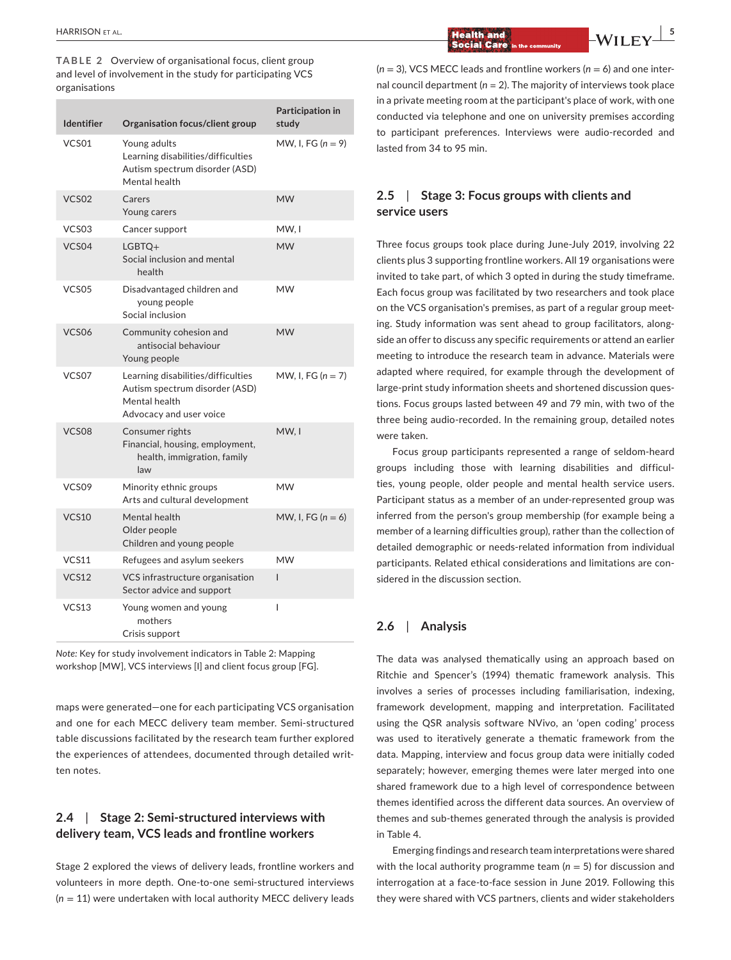**TABLE 2** Overview of organisational focus, client group and level of involvement in the study for participating VCS organisations

| <b>Identifier</b> | Organisation focus/client group                                                                                  | Participation in<br>study |
|-------------------|------------------------------------------------------------------------------------------------------------------|---------------------------|
| VCS01             | Young adults<br>Learning disabilities/difficulties<br>Autism spectrum disorder (ASD)<br>Mental health            | MW, I, FG $(n = 9)$       |
| VCS <sub>02</sub> | Carers<br>Young carers                                                                                           | <b>MW</b>                 |
| VCS <sub>03</sub> | Cancer support                                                                                                   | MW. I                     |
| VCS04             | $LGBTO+$<br>Social inclusion and mental<br>health                                                                | <b>MW</b>                 |
| VCS <sub>05</sub> | Disadvantaged children and<br>young people<br>Social inclusion                                                   | MW                        |
| VCS <sub>06</sub> | Community cohesion and<br>antisocial behaviour<br>Young people                                                   | <b>MW</b>                 |
| VCS07             | Learning disabilities/difficulties<br>Autism spectrum disorder (ASD)<br>Mental health<br>Advocacy and user voice | MW, I, FG $(n = 7)$       |
| VCS08             | Consumer rights<br>Financial, housing, employment,<br>health, immigration, family<br>law                         | MW.I                      |
| VCS <sub>09</sub> | Minority ethnic groups<br>Arts and cultural development                                                          | <b>MW</b>                 |
| <b>VCS10</b>      | Mental health<br>Older people<br>Children and young people                                                       | MW, I, FG $(n = 6)$       |
| VCS11             | Refugees and asylum seekers                                                                                      | <b>MW</b>                 |
| <b>VCS12</b>      | VCS infrastructure organisation<br>Sector advice and support                                                     | I                         |
| VCS13             | Young women and young<br>mothers<br>Crisis support                                                               | I                         |

*Note:* Key for study involvement indicators in Table 2: Mapping workshop [MW], VCS interviews [I] and client focus group [FG].

maps were generated—one for each participating VCS organisation and one for each MECC delivery team member. Semi-structured table discussions facilitated by the research team further explored the experiences of attendees, documented through detailed written notes.

## **2.4**  | **Stage 2: Semi-structured interviews with delivery team, VCS leads and frontline workers**

Stage 2 explored the views of delivery leads, frontline workers and volunteers in more depth. One-to-one semi-structured interviews (*n* = 11) were undertaken with local authority MECC delivery leads

 $\frac{1}{2}$   $\frac{1}{2}$   $\frac{1}{2}$   $\frac{1}{2}$   $\frac{1}{2}$   $\frac{1}{2}$   $\frac{1}{2}$   $\frac{1}{2}$   $\frac{1}{2}$   $\frac{1}{2}$   $\frac{1}{2}$   $\frac{1}{2}$   $\frac{1}{2}$   $\frac{1}{2}$   $\frac{1}{2}$   $\frac{1}{2}$   $\frac{1}{2}$   $\frac{1}{2}$   $\frac{1}{2}$   $\frac{1}{2}$   $\frac{1}{2}$ 

 $(n = 3)$ , VCS MECC leads and frontline workers  $(n = 6)$  and one internal council department (*n =* 2). The majority of interviews took place in a private meeting room at the participant's place of work, with one conducted via telephone and one on university premises according to participant preferences. Interviews were audio-recorded and lasted from 34 to 95 min.

# **2.5**  | **Stage 3: Focus groups with clients and service users**

Three focus groups took place during June-July 2019, involving 22 clients plus 3 supporting frontline workers. All 19 organisations were invited to take part, of which 3 opted in during the study timeframe. Each focus group was facilitated by two researchers and took place on the VCS organisation's premises, as part of a regular group meeting. Study information was sent ahead to group facilitators, alongside an offer to discuss any specific requirements or attend an earlier meeting to introduce the research team in advance. Materials were adapted where required, for example through the development of large-print study information sheets and shortened discussion questions. Focus groups lasted between 49 and 79 min, with two of the three being audio-recorded. In the remaining group, detailed notes were taken.

Focus group participants represented a range of seldom-heard groups including those with learning disabilities and difficulties, young people, older people and mental health service users. Participant status as a member of an under-represented group was inferred from the person's group membership (for example being a member of a learning difficulties group), rather than the collection of detailed demographic or needs-related information from individual participants. Related ethical considerations and limitations are considered in the discussion section.

## **2.6**  | **Analysis**

The data was analysed thematically using an approach based on Ritchie and Spencer's (1994) thematic framework analysis. This involves a series of processes including familiarisation, indexing, framework development, mapping and interpretation. Facilitated using the QSR analysis software NVivo, an 'open coding' process was used to iteratively generate a thematic framework from the data. Mapping, interview and focus group data were initially coded separately; however, emerging themes were later merged into one shared framework due to a high level of correspondence between themes identified across the different data sources. An overview of themes and sub-themes generated through the analysis is provided in Table 4.

Emerging findings and research team interpretations were shared with the local authority programme team ( $n = 5$ ) for discussion and interrogation at a face-to-face session in June 2019. Following this they were shared with VCS partners, clients and wider stakeholders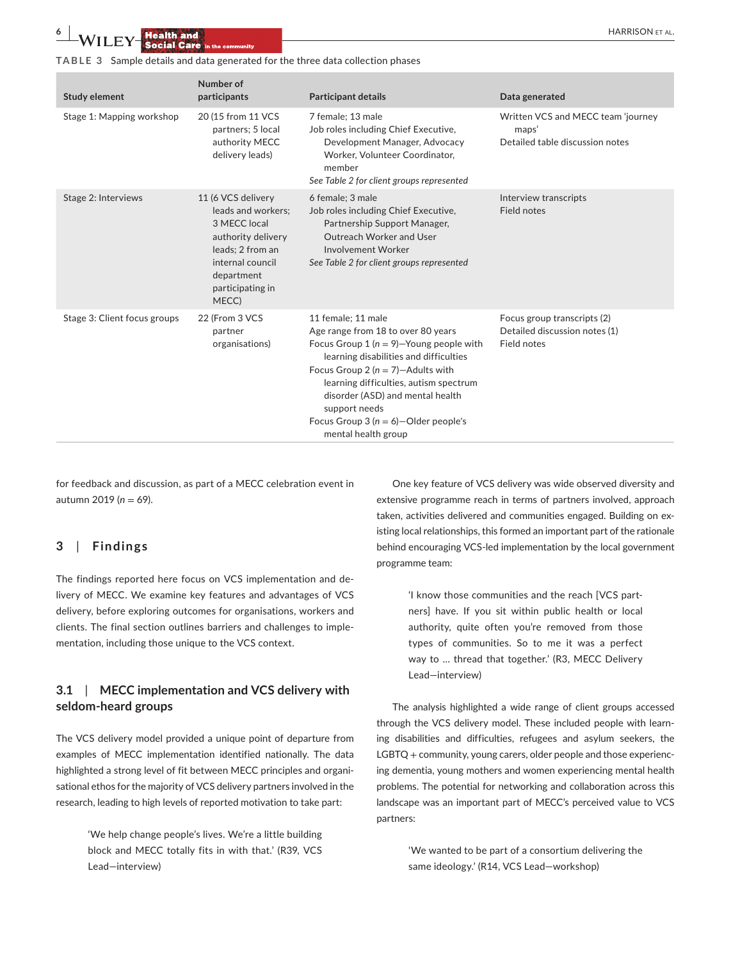**TABLE 3** Sample details and data generated for the three data collection phases

| <b>Study element</b>         | Number of<br>participants                                                                                                                                         | <b>Participant details</b>                                                                                                                                                                                                                                                                                                                                   | Data generated                                                                 |
|------------------------------|-------------------------------------------------------------------------------------------------------------------------------------------------------------------|--------------------------------------------------------------------------------------------------------------------------------------------------------------------------------------------------------------------------------------------------------------------------------------------------------------------------------------------------------------|--------------------------------------------------------------------------------|
| Stage 1: Mapping workshop    | 20 (15 from 11 VCS<br>partners; 5 local<br>authority MECC<br>delivery leads)                                                                                      | 7 female; 13 male<br>Job roles including Chief Executive,<br>Development Manager, Advocacy<br>Worker, Volunteer Coordinator,<br>member<br>See Table 2 for client groups represented                                                                                                                                                                          | Written VCS and MECC team 'journey<br>maps'<br>Detailed table discussion notes |
| Stage 2: Interviews          | 11 (6 VCS delivery<br>leads and workers;<br>3 MECC local<br>authority delivery<br>leads; 2 from an<br>internal council<br>department<br>participating in<br>MECC) | 6 female; 3 male<br>Job roles including Chief Executive,<br>Partnership Support Manager,<br>Outreach Worker and User<br><b>Involvement Worker</b><br>See Table 2 for client groups represented                                                                                                                                                               | Interview transcripts<br>Field notes                                           |
| Stage 3: Client focus groups | 22 (From 3 VCS<br>partner<br>organisations)                                                                                                                       | 11 female: 11 male<br>Age range from 18 to over 80 years<br>Focus Group 1 ( $n = 9$ )-Young people with<br>learning disabilities and difficulties<br>Focus Group 2 ( $n = 7$ )-Adults with<br>learning difficulties, autism spectrum<br>disorder (ASD) and mental health<br>support needs<br>Focus Group 3 ( $n = 6$ )-Older people's<br>mental health group | Focus group transcripts (2)<br>Detailed discussion notes (1)<br>Field notes    |

for feedback and discussion, as part of a MECC celebration event in autumn 2019 (*n* = 69).

## **3**  | **Findings**

The findings reported here focus on VCS implementation and delivery of MECC. We examine key features and advantages of VCS delivery, before exploring outcomes for organisations, workers and clients. The final section outlines barriers and challenges to implementation, including those unique to the VCS context.

# **3.1**  | **MECC implementation and VCS delivery with seldom-heard groups**

The VCS delivery model provided a unique point of departure from examples of MECC implementation identified nationally. The data highlighted a strong level of fit between MECC principles and organisational ethos for the majority of VCS delivery partners involved in the research, leading to high levels of reported motivation to take part:

> 'We help change people's lives. We're a little building block and MECC totally fits in with that.' (R39, VCS Lead—interview)

One key feature of VCS delivery was wide observed diversity and extensive programme reach in terms of partners involved, approach taken, activities delivered and communities engaged. Building on existing local relationships, this formed an important part of the rationale behind encouraging VCS-led implementation by the local government programme team:

> 'I know those communities and the reach [VCS partners] have. If you sit within public health or local authority, quite often you're removed from those types of communities. So to me it was a perfect way to … thread that together.' (R3, MECC Delivery Lead—interview)

The analysis highlighted a wide range of client groups accessed through the VCS delivery model. These included people with learning disabilities and difficulties, refugees and asylum seekers, the LGBTQ + community, young carers, older people and those experiencing dementia, young mothers and women experiencing mental health problems. The potential for networking and collaboration across this landscape was an important part of MECC's perceived value to VCS partners:

> 'We wanted to be part of a consortium delivering the same ideology.' (R14, VCS Lead—workshop)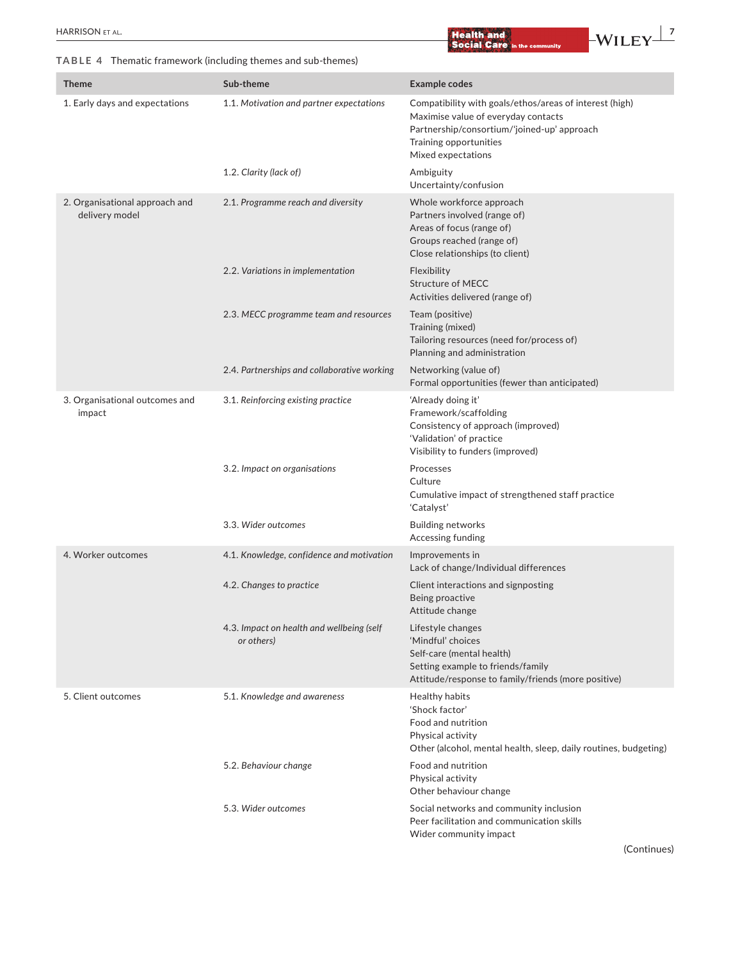**TABLE 4** Thematic framework (including themes and sub-themes)

| Theme                                            | Sub-theme                                               | <b>Example codes</b>                                                                                                                                                                          |
|--------------------------------------------------|---------------------------------------------------------|-----------------------------------------------------------------------------------------------------------------------------------------------------------------------------------------------|
| 1. Early days and expectations                   | 1.1. Motivation and partner expectations                | Compatibility with goals/ethos/areas of interest (high)<br>Maximise value of everyday contacts<br>Partnership/consortium/'joined-up' approach<br>Training opportunities<br>Mixed expectations |
|                                                  | 1.2. Clarity (lack of)                                  | Ambiguity<br>Uncertainty/confusion                                                                                                                                                            |
| 2. Organisational approach and<br>delivery model | 2.1. Programme reach and diversity                      | Whole workforce approach<br>Partners involved (range of)<br>Areas of focus (range of)<br>Groups reached (range of)<br>Close relationships (to client)                                         |
|                                                  | 2.2. Variations in implementation                       | Flexibility<br><b>Structure of MECC</b><br>Activities delivered (range of)                                                                                                                    |
|                                                  | 2.3. MECC programme team and resources                  | Team (positive)<br>Training (mixed)<br>Tailoring resources (need for/process of)<br>Planning and administration                                                                               |
|                                                  | 2.4. Partnerships and collaborative working             | Networking (value of)<br>Formal opportunities (fewer than anticipated)                                                                                                                        |
| 3. Organisational outcomes and<br>impact         | 3.1. Reinforcing existing practice                      | 'Already doing it'<br>Framework/scaffolding<br>Consistency of approach (improved)<br>'Validation' of practice<br>Visibility to funders (improved)                                             |
|                                                  | 3.2. Impact on organisations                            | Processes<br>Culture<br>Cumulative impact of strengthened staff practice<br>'Catalyst'                                                                                                        |
|                                                  | 3.3. Wider outcomes                                     | <b>Building networks</b><br>Accessing funding                                                                                                                                                 |
| 4. Worker outcomes                               | 4.1. Knowledge, confidence and motivation               | Improvements in<br>Lack of change/Individual differences                                                                                                                                      |
|                                                  | 4.2. Changes to practice                                | Client interactions and signposting<br>Being proactive<br>Attitude change                                                                                                                     |
|                                                  | 4.3. Impact on health and wellbeing (self<br>or others) | Lifestyle changes<br>'Mindful' choices<br>Self-care (mental health)<br>Setting example to friends/family<br>Attitude/response to family/friends (more positive)                               |
| 5. Client outcomes                               | 5.1. Knowledge and awareness                            | Healthy habits<br>'Shock factor'<br>Food and nutrition<br>Physical activity<br>Other (alcohol, mental health, sleep, daily routines, budgeting)                                               |
|                                                  | 5.2. Behaviour change                                   | Food and nutrition<br>Physical activity<br>Other behaviour change                                                                                                                             |
|                                                  | 5.3. Wider outcomes                                     | Social networks and community inclusion<br>Peer facilitation and communication skills                                                                                                         |

Wider community impact

(Continues)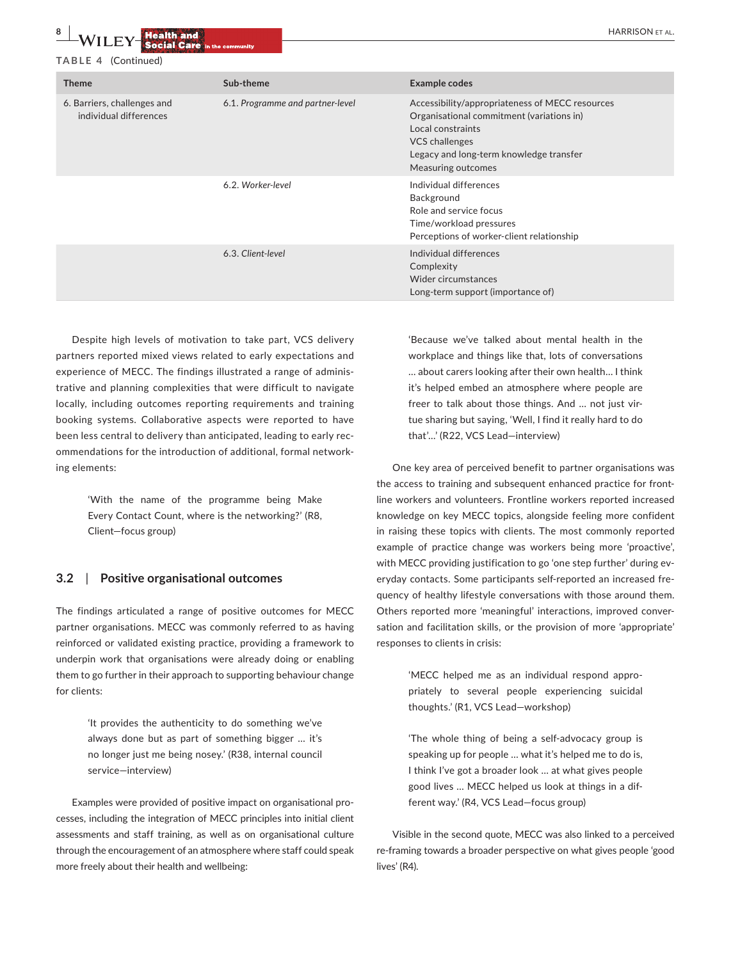#### **TABLE 4** (Continued)

| <b>Theme</b>                                          | Sub-theme                        | <b>Example codes</b>                                                                                                                                                                                        |
|-------------------------------------------------------|----------------------------------|-------------------------------------------------------------------------------------------------------------------------------------------------------------------------------------------------------------|
| 6. Barriers, challenges and<br>individual differences | 6.1. Programme and partner-level | Accessibility/appropriateness of MECC resources<br>Organisational commitment (variations in)<br>Local constraints<br><b>VCS</b> challenges<br>Legacy and long-term knowledge transfer<br>Measuring outcomes |
|                                                       | 6.2. Worker-level                | Individual differences<br>Background<br>Role and service focus<br>Time/workload pressures<br>Perceptions of worker-client relationship                                                                      |
|                                                       | 6.3. Client-level                | Individual differences<br>Complexity<br>Wider circumstances<br>Long-term support (importance of)                                                                                                            |

Despite high levels of motivation to take part, VCS delivery partners reported mixed views related to early expectations and experience of MECC. The findings illustrated a range of administrative and planning complexities that were difficult to navigate locally, including outcomes reporting requirements and training booking systems. Collaborative aspects were reported to have been less central to delivery than anticipated, leading to early recommendations for the introduction of additional, formal networking elements:

> 'With the name of the programme being Make Every Contact Count, where is the networking?' (R8, Client—focus group)

#### **3.2**  | **Positive organisational outcomes**

The findings articulated a range of positive outcomes for MECC partner organisations. MECC was commonly referred to as having reinforced or validated existing practice, providing a framework to underpin work that organisations were already doing or enabling them to go further in their approach to supporting behaviour change for clients:

> 'It provides the authenticity to do something we've always done but as part of something bigger … it's no longer just me being nosey.' (R38, internal council service—interview)

Examples were provided of positive impact on organisational processes, including the integration of MECC principles into initial client assessments and staff training, as well as on organisational culture through the encouragement of an atmosphere where staff could speak more freely about their health and wellbeing:

'Because we've talked about mental health in the workplace and things like that, lots of conversations … about carers looking after their own health… I think it's helped embed an atmosphere where people are freer to talk about those things. And … not just virtue sharing but saying, 'Well, I find it really hard to do that'…' (R22, VCS Lead—interview)

One key area of perceived benefit to partner organisations was the access to training and subsequent enhanced practice for frontline workers and volunteers. Frontline workers reported increased knowledge on key MECC topics, alongside feeling more confident in raising these topics with clients. The most commonly reported example of practice change was workers being more 'proactive', with MECC providing justification to go 'one step further' during everyday contacts. Some participants self-reported an increased frequency of healthy lifestyle conversations with those around them. Others reported more 'meaningful' interactions, improved conversation and facilitation skills, or the provision of more 'appropriate' responses to clients in crisis:

> 'MECC helped me as an individual respond appropriately to several people experiencing suicidal thoughts.' (R1, VCS Lead—workshop)

> 'The whole thing of being a self-advocacy group is speaking up for people … what it's helped me to do is, I think I've got a broader look … at what gives people good lives … MECC helped us look at things in a different way.' (R4, VCS Lead—focus group)

Visible in the second quote, MECC was also linked to a perceived re-framing towards a broader perspective on what gives people 'good lives' (R4).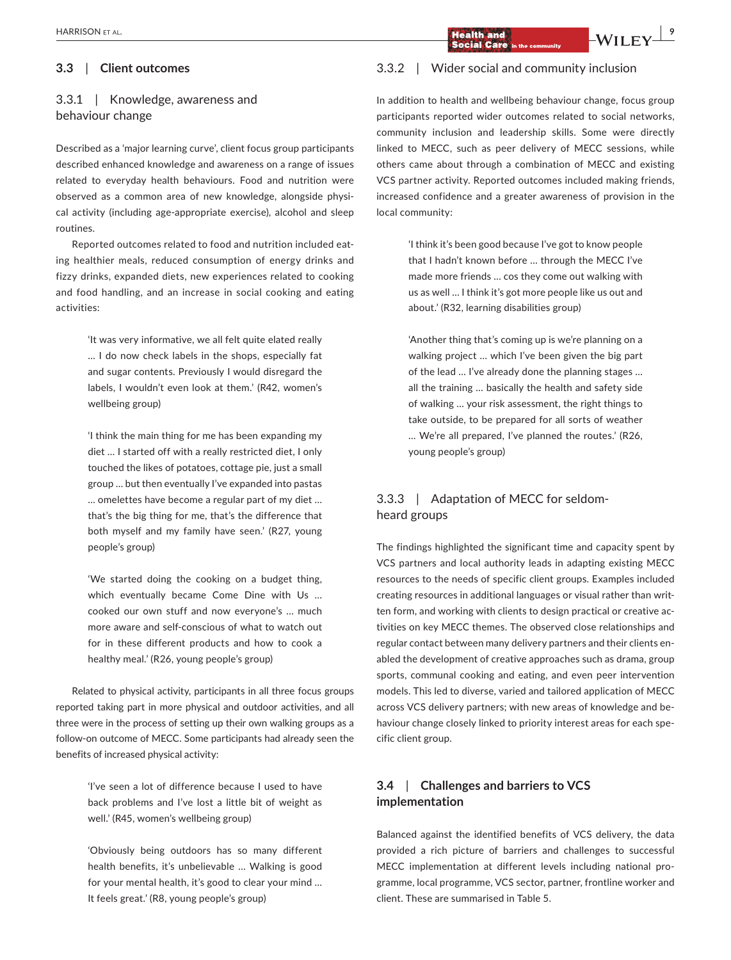## **3.3**  | **Client outcomes**

# 3.3.1 | Knowledge, awareness and behaviour change

Described as a 'major learning curve', client focus group participants described enhanced knowledge and awareness on a range of issues related to everyday health behaviours. Food and nutrition were observed as a common area of new knowledge, alongside physical activity (including age-appropriate exercise), alcohol and sleep routines.

Reported outcomes related to food and nutrition included eating healthier meals, reduced consumption of energy drinks and fizzy drinks, expanded diets, new experiences related to cooking and food handling, and an increase in social cooking and eating activities:

> 'It was very informative, we all felt quite elated really … I do now check labels in the shops, especially fat and sugar contents. Previously I would disregard the labels, I wouldn't even look at them.' (R42, women's wellbeing group)

> 'I think the main thing for me has been expanding my diet … I started off with a really restricted diet, I only touched the likes of potatoes, cottage pie, just a small group … but then eventually I've expanded into pastas … omelettes have become a regular part of my diet … that's the big thing for me, that's the difference that both myself and my family have seen.' (R27, young people's group)

> 'We started doing the cooking on a budget thing, which eventually became Come Dine with Us … cooked our own stuff and now everyone's … much more aware and self-conscious of what to watch out for in these different products and how to cook a healthy meal.' (R26, young people's group)

Related to physical activity, participants in all three focus groups reported taking part in more physical and outdoor activities, and all three were in the process of setting up their own walking groups as a follow-on outcome of MECC. Some participants had already seen the benefits of increased physical activity:

> 'I've seen a lot of difference because I used to have back problems and I've lost a little bit of weight as well.' (R45, women's wellbeing group)

> 'Obviously being outdoors has so many different health benefits, it's unbelievable … Walking is good for your mental health, it's good to clear your mind … It feels great.' (R8, young people's group)

### 3.3.2 | Wider social and community inclusion

In addition to health and wellbeing behaviour change, focus group participants reported wider outcomes related to social networks, community inclusion and leadership skills. Some were directly linked to MECC, such as peer delivery of MECC sessions, while others came about through a combination of MECC and existing VCS partner activity. Reported outcomes included making friends, increased confidence and a greater awareness of provision in the local community:

> 'I think it's been good because I've got to know people that I hadn't known before … through the MECC I've made more friends … cos they come out walking with us as well … I think it's got more people like us out and about.' (R32, learning disabilities group)

> 'Another thing that's coming up is we're planning on a walking project … which I've been given the big part of the lead … I've already done the planning stages … all the training … basically the health and safety side of walking … your risk assessment, the right things to take outside, to be prepared for all sorts of weather … We're all prepared, I've planned the routes.' (R26, young people's group)

## 3.3.3 | Adaptation of MECC for seldomheard groups

The findings highlighted the significant time and capacity spent by VCS partners and local authority leads in adapting existing MECC resources to the needs of specific client groups. Examples included creating resources in additional languages or visual rather than written form, and working with clients to design practical or creative activities on key MECC themes. The observed close relationships and regular contact between many delivery partners and their clients enabled the development of creative approaches such as drama, group sports, communal cooking and eating, and even peer intervention models. This led to diverse, varied and tailored application of MECC across VCS delivery partners; with new areas of knowledge and behaviour change closely linked to priority interest areas for each specific client group.

## **3.4**  | **Challenges and barriers to VCS implementation**

Balanced against the identified benefits of VCS delivery, the data provided a rich picture of barriers and challenges to successful MECC implementation at different levels including national programme, local programme, VCS sector, partner, frontline worker and client. These are summarised in Table 5.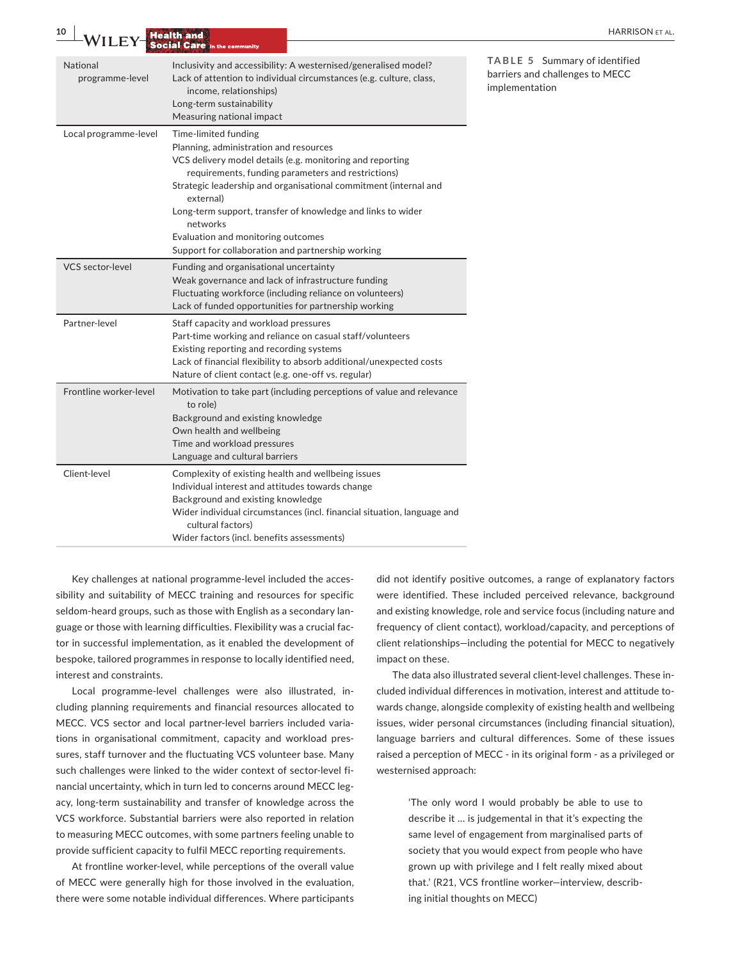|                                                                                 |                                                    | <b>HARRISON ET AL</b>                                                                                                                                                                                                                                                                                                                                                                                                                                                                                                                                                                                                                                                                                                                                                                                                                                                                                                                                                                                                                                                                                                                                                                                                                                                                                                                                                                                                                                                                        |
|---------------------------------------------------------------------------------|----------------------------------------------------|----------------------------------------------------------------------------------------------------------------------------------------------------------------------------------------------------------------------------------------------------------------------------------------------------------------------------------------------------------------------------------------------------------------------------------------------------------------------------------------------------------------------------------------------------------------------------------------------------------------------------------------------------------------------------------------------------------------------------------------------------------------------------------------------------------------------------------------------------------------------------------------------------------------------------------------------------------------------------------------------------------------------------------------------------------------------------------------------------------------------------------------------------------------------------------------------------------------------------------------------------------------------------------------------------------------------------------------------------------------------------------------------------------------------------------------------------------------------------------------------|
| income, relationships)<br>Long-term sustainability<br>Measuring national impact |                                                    | TABLE 5 Summary of identified<br>barriers and challenges to MECC<br>implementation                                                                                                                                                                                                                                                                                                                                                                                                                                                                                                                                                                                                                                                                                                                                                                                                                                                                                                                                                                                                                                                                                                                                                                                                                                                                                                                                                                                                           |
| Time-limited funding<br>external)<br>networks                                   |                                                    |                                                                                                                                                                                                                                                                                                                                                                                                                                                                                                                                                                                                                                                                                                                                                                                                                                                                                                                                                                                                                                                                                                                                                                                                                                                                                                                                                                                                                                                                                              |
|                                                                                 |                                                    |                                                                                                                                                                                                                                                                                                                                                                                                                                                                                                                                                                                                                                                                                                                                                                                                                                                                                                                                                                                                                                                                                                                                                                                                                                                                                                                                                                                                                                                                                              |
|                                                                                 |                                                    |                                                                                                                                                                                                                                                                                                                                                                                                                                                                                                                                                                                                                                                                                                                                                                                                                                                                                                                                                                                                                                                                                                                                                                                                                                                                                                                                                                                                                                                                                              |
| to role)<br>Own health and wellbeing                                            |                                                    |                                                                                                                                                                                                                                                                                                                                                                                                                                                                                                                                                                                                                                                                                                                                                                                                                                                                                                                                                                                                                                                                                                                                                                                                                                                                                                                                                                                                                                                                                              |
| cultural factors)                                                               |                                                    |                                                                                                                                                                                                                                                                                                                                                                                                                                                                                                                                                                                                                                                                                                                                                                                                                                                                                                                                                                                                                                                                                                                                                                                                                                                                                                                                                                                                                                                                                              |
|                                                                                 | <b>Health and<br/>Social Care</b> in the community | Inclusivity and accessibility: A westernised/generalised model?<br>Lack of attention to individual circumstances (e.g. culture, class,<br>Planning, administration and resources<br>VCS delivery model details (e.g. monitoring and reporting<br>requirements, funding parameters and restrictions)<br>Strategic leadership and organisational commitment (internal and<br>Long-term support, transfer of knowledge and links to wider<br>Evaluation and monitoring outcomes<br>Support for collaboration and partnership working<br>Funding and organisational uncertainty<br>Weak governance and lack of infrastructure funding<br>Fluctuating workforce (including reliance on volunteers)<br>Lack of funded opportunities for partnership working<br>Staff capacity and workload pressures<br>Part-time working and reliance on casual staff/volunteers<br>Existing reporting and recording systems<br>Lack of financial flexibility to absorb additional/unexpected costs<br>Nature of client contact (e.g. one-off vs. regular)<br>Motivation to take part (including perceptions of value and relevance<br>Background and existing knowledge<br>Time and workload pressures<br>Language and cultural barriers<br>Complexity of existing health and wellbeing issues<br>Individual interest and attitudes towards change<br>Background and existing knowledge<br>Wider individual circumstances (incl. financial situation, language and<br>Wider factors (incl. benefits assessments) |

Key challenges at national programme-level included the accessibility and suitability of MECC training and resources for specific seldom-heard groups, such as those with English as a secondary language or those with learning difficulties. Flexibility was a crucial factor in successful implementation, as it enabled the development of bespoke, tailored programmes in response to locally identified need, interest and constraints.

Local programme-level challenges were also illustrated, including planning requirements and financial resources allocated to MECC. VCS sector and local partner-level barriers included variations in organisational commitment, capacity and workload pressures, staff turnover and the fluctuating VCS volunteer base. Many such challenges were linked to the wider context of sector-level financial uncertainty, which in turn led to concerns around MECC legacy, long-term sustainability and transfer of knowledge across the VCS workforce. Substantial barriers were also reported in relation to measuring MECC outcomes, with some partners feeling unable to provide sufficient capacity to fulfil MECC reporting requirements.

At frontline worker-level, while perceptions of the overall value of MECC were generally high for those involved in the evaluation, there were some notable individual differences. Where participants

did not identify positive outcomes, a range of explanatory factors were identified. These included perceived relevance, background and existing knowledge, role and service focus (including nature and frequency of client contact), workload/capacity, and perceptions of client relationships—including the potential for MECC to negatively impact on these.

The data also illustrated several client-level challenges. These included individual differences in motivation, interest and attitude towards change, alongside complexity of existing health and wellbeing issues, wider personal circumstances (including financial situation), language barriers and cultural differences. Some of these issues raised a perception of MECC - in its original form - as a privileged or westernised approach:

> 'The only word I would probably be able to use to describe it … is judgemental in that it's expecting the same level of engagement from marginalised parts of society that you would expect from people who have grown up with privilege and I felt really mixed about that.' (R21, VCS frontline worker—interview, describing initial thoughts on MECC)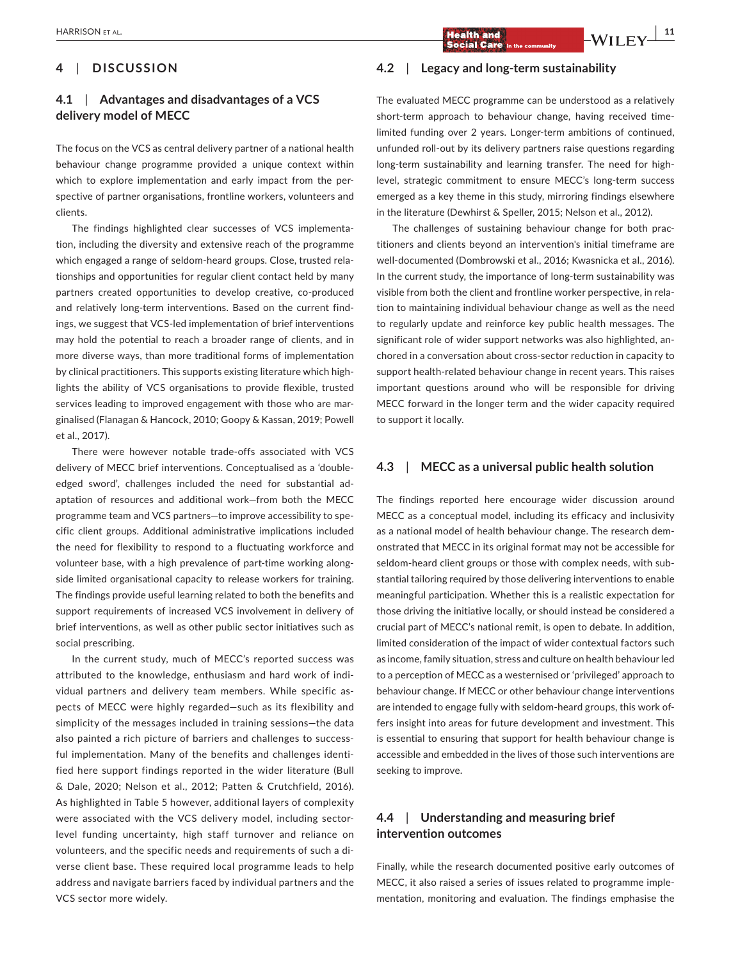# $\frac{1}{2}$   $\frac{1}{2}$   $\frac{1}{2}$   $\frac{1}{2}$   $\frac{1}{2}$   $\frac{1}{2}$   $\frac{1}{2}$   $\frac{1}{2}$   $\frac{1}{2}$   $\frac{1}{2}$   $\frac{1}{2}$   $\frac{1}{2}$   $\frac{1}{2}$   $\frac{1}{2}$   $\frac{1}{2}$   $\frac{1}{2}$   $\frac{1}{2}$   $\frac{1}{2}$  **\frac**

# **4**  | **DISCUSSION**

## **4.1**  | **Advantages and disadvantages of a VCS delivery model of MECC**

The focus on the VCS as central delivery partner of a national health behaviour change programme provided a unique context within which to explore implementation and early impact from the perspective of partner organisations, frontline workers, volunteers and clients.

The findings highlighted clear successes of VCS implementation, including the diversity and extensive reach of the programme which engaged a range of seldom-heard groups. Close, trusted relationships and opportunities for regular client contact held by many partners created opportunities to develop creative, co-produced and relatively long-term interventions. Based on the current findings, we suggest that VCS-led implementation of brief interventions may hold the potential to reach a broader range of clients, and in more diverse ways, than more traditional forms of implementation by clinical practitioners. This supports existing literature which highlights the ability of VCS organisations to provide flexible, trusted services leading to improved engagement with those who are marginalised (Flanagan & Hancock, 2010; Goopy & Kassan, 2019; Powell et al., 2017).

There were however notable trade-offs associated with VCS delivery of MECC brief interventions. Conceptualised as a 'doubleedged sword', challenges included the need for substantial adaptation of resources and additional work—from both the MECC programme team and VCS partners—to improve accessibility to specific client groups. Additional administrative implications included the need for flexibility to respond to a fluctuating workforce and volunteer base, with a high prevalence of part-time working alongside limited organisational capacity to release workers for training. The findings provide useful learning related to both the benefits and support requirements of increased VCS involvement in delivery of brief interventions, as well as other public sector initiatives such as social prescribing.

In the current study, much of MECC's reported success was attributed to the knowledge, enthusiasm and hard work of individual partners and delivery team members. While specific aspects of MECC were highly regarded—such as its flexibility and simplicity of the messages included in training sessions—the data also painted a rich picture of barriers and challenges to successful implementation. Many of the benefits and challenges identified here support findings reported in the wider literature (Bull & Dale, 2020; Nelson et al., 2012; Patten & Crutchfield, 2016). As highlighted in Table 5 however, additional layers of complexity were associated with the VCS delivery model, including sectorlevel funding uncertainty, high staff turnover and reliance on volunteers, and the specific needs and requirements of such a diverse client base. These required local programme leads to help address and navigate barriers faced by individual partners and the VCS sector more widely.

## **4.2**  | **Legacy and long-term sustainability**

The evaluated MECC programme can be understood as a relatively short-term approach to behaviour change, having received timelimited funding over 2 years. Longer-term ambitions of continued, unfunded roll-out by its delivery partners raise questions regarding long-term sustainability and learning transfer. The need for highlevel, strategic commitment to ensure MECC's long-term success emerged as a key theme in this study, mirroring findings elsewhere in the literature (Dewhirst & Speller, 2015; Nelson et al., 2012).

The challenges of sustaining behaviour change for both practitioners and clients beyond an intervention's initial timeframe are well-documented (Dombrowski et al., 2016; Kwasnicka et al., 2016). In the current study, the importance of long-term sustainability was visible from both the client and frontline worker perspective, in relation to maintaining individual behaviour change as well as the need to regularly update and reinforce key public health messages. The significant role of wider support networks was also highlighted, anchored in a conversation about cross-sector reduction in capacity to support health-related behaviour change in recent years. This raises important questions around who will be responsible for driving MECC forward in the longer term and the wider capacity required to support it locally.

### **4.3**  | **MECC as a universal public health solution**

The findings reported here encourage wider discussion around MECC as a conceptual model, including its efficacy and inclusivity as a national model of health behaviour change. The research demonstrated that MECC in its original format may not be accessible for seldom-heard client groups or those with complex needs, with substantial tailoring required by those delivering interventions to enable meaningful participation. Whether this is a realistic expectation for those driving the initiative locally, or should instead be considered a crucial part of MECC's national remit, is open to debate. In addition, limited consideration of the impact of wider contextual factors such as income, family situation, stress and culture on health behaviour led to a perception of MECC as a westernised or 'privileged' approach to behaviour change. If MECC or other behaviour change interventions are intended to engage fully with seldom-heard groups, this work offers insight into areas for future development and investment. This is essential to ensuring that support for health behaviour change is accessible and embedded in the lives of those such interventions are seeking to improve.

## **4.4**  | **Understanding and measuring brief intervention outcomes**

Finally, while the research documented positive early outcomes of MECC, it also raised a series of issues related to programme implementation, monitoring and evaluation. The findings emphasise the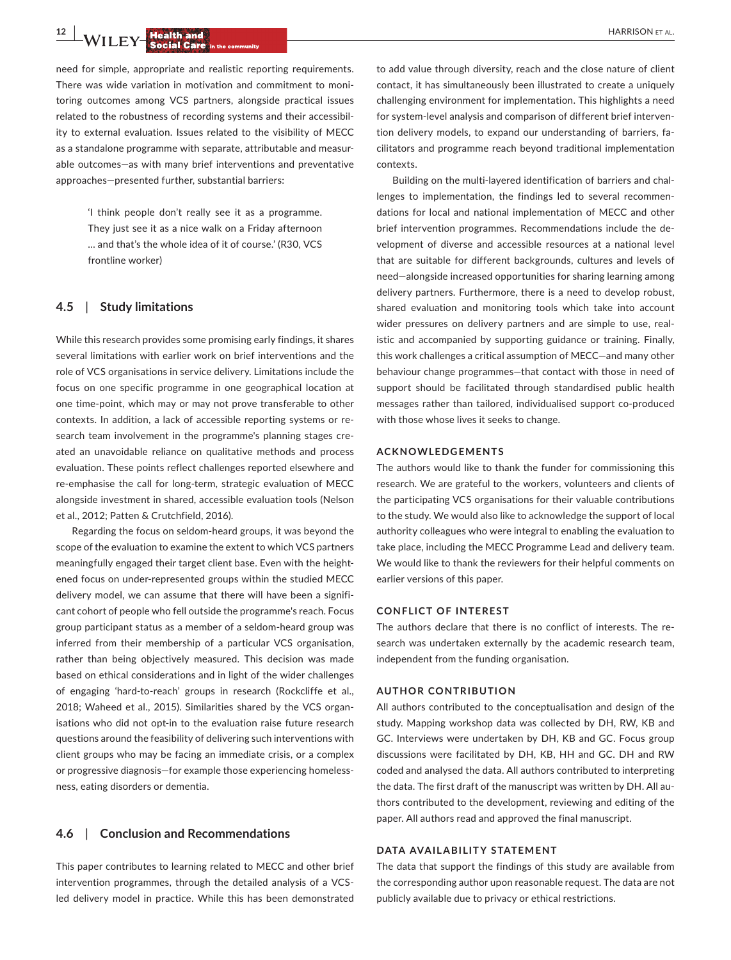**12 WILEY Realth and a**<br>**EXECUTEY Social Care** in the community

need for simple, appropriate and realistic reporting requirements. There was wide variation in motivation and commitment to monitoring outcomes among VCS partners, alongside practical issues related to the robustness of recording systems and their accessibility to external evaluation. Issues related to the visibility of MECC as a standalone programme with separate, attributable and measurable outcomes—as with many brief interventions and preventative approaches—presented further, substantial barriers:

> 'I think people don't really see it as a programme. They just see it as a nice walk on a Friday afternoon … and that's the whole idea of it of course.' (R30, VCS frontline worker)

## **4.5**  | **Study limitations**

While this research provides some promising early findings, it shares several limitations with earlier work on brief interventions and the role of VCS organisations in service delivery. Limitations include the focus on one specific programme in one geographical location at one time-point, which may or may not prove transferable to other contexts. In addition, a lack of accessible reporting systems or research team involvement in the programme's planning stages created an unavoidable reliance on qualitative methods and process evaluation. These points reflect challenges reported elsewhere and re-emphasise the call for long-term, strategic evaluation of MECC alongside investment in shared, accessible evaluation tools (Nelson et al., 2012; Patten & Crutchfield, 2016).

Regarding the focus on seldom-heard groups, it was beyond the scope of the evaluation to examine the extent to which VCS partners meaningfully engaged their target client base. Even with the heightened focus on under-represented groups within the studied MECC delivery model, we can assume that there will have been a significant cohort of people who fell outside the programme's reach. Focus group participant status as a member of a seldom-heard group was inferred from their membership of a particular VCS organisation, rather than being objectively measured. This decision was made based on ethical considerations and in light of the wider challenges of engaging 'hard-to-reach' groups in research (Rockcliffe et al., 2018; Waheed et al., 2015). Similarities shared by the VCS organisations who did not opt-in to the evaluation raise future research questions around the feasibility of delivering such interventions with client groups who may be facing an immediate crisis, or a complex or progressive diagnosis—for example those experiencing homelessness, eating disorders or dementia.

#### **4.6**  | **Conclusion and Recommendations**

This paper contributes to learning related to MECC and other brief intervention programmes, through the detailed analysis of a VCSled delivery model in practice. While this has been demonstrated

to add value through diversity, reach and the close nature of client contact, it has simultaneously been illustrated to create a uniquely challenging environment for implementation. This highlights a need for system-level analysis and comparison of different brief intervention delivery models, to expand our understanding of barriers, facilitators and programme reach beyond traditional implementation contexts.

Building on the multi-layered identification of barriers and challenges to implementation, the findings led to several recommendations for local and national implementation of MECC and other brief intervention programmes. Recommendations include the development of diverse and accessible resources at a national level that are suitable for different backgrounds, cultures and levels of need—alongside increased opportunities for sharing learning among delivery partners. Furthermore, there is a need to develop robust, shared evaluation and monitoring tools which take into account wider pressures on delivery partners and are simple to use, realistic and accompanied by supporting guidance or training. Finally, this work challenges a critical assumption of MECC—and many other behaviour change programmes—that contact with those in need of support should be facilitated through standardised public health messages rather than tailored, individualised support co-produced with those whose lives it seeks to change.

#### **ACKNOWLEDGEMENTS**

The authors would like to thank the funder for commissioning this research. We are grateful to the workers, volunteers and clients of the participating VCS organisations for their valuable contributions to the study. We would also like to acknowledge the support of local authority colleagues who were integral to enabling the evaluation to take place, including the MECC Programme Lead and delivery team. We would like to thank the reviewers for their helpful comments on earlier versions of this paper.

#### **CONFLICT OF INTEREST**

The authors declare that there is no conflict of interests. The research was undertaken externally by the academic research team, independent from the funding organisation.

#### **AUTHOR CONTRIBUTION**

All authors contributed to the conceptualisation and design of the study. Mapping workshop data was collected by DH, RW, KB and GC. Interviews were undertaken by DH, KB and GC. Focus group discussions were facilitated by DH, KB, HH and GC. DH and RW coded and analysed the data. All authors contributed to interpreting the data. The first draft of the manuscript was written by DH. All authors contributed to the development, reviewing and editing of the paper. All authors read and approved the final manuscript.

#### **DATA AVAILABILITY STATEMENT**

The data that support the findings of this study are available from the corresponding author upon reasonable request. The data are not publicly available due to privacy or ethical restrictions.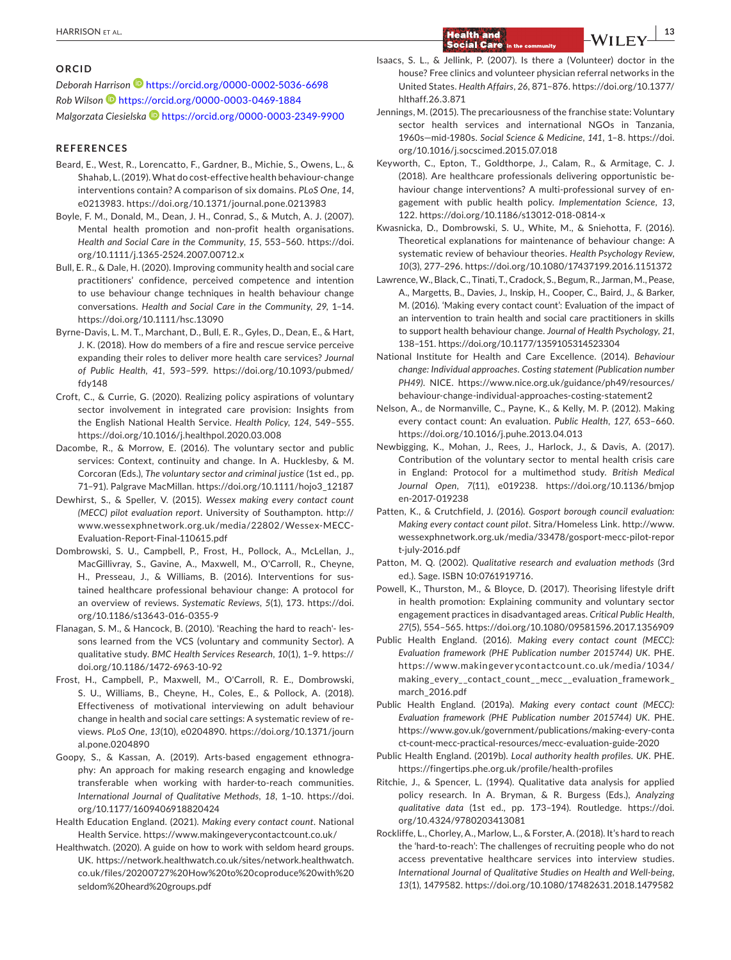#### **ORCID**

*Deborah Harriso[n](https://orcid.org/0000-0002-5036-6698)* <https://orcid.org/0000-0002-5036-6698> *Rob Wilson* <https://orcid.org/0000-0003-0469-1884> *Malgorzata Ciesielsk[a](https://orcid.org/0000-0003-2349-9900)* <https://orcid.org/0000-0003-2349-9900>

#### **REFERENCES**

- Beard, E., West, R., Lorencatto, F., Gardner, B., Michie, S., Owens, L., & Shahab, L. (2019). What do cost-effective health behaviour-change interventions contain? A comparison of six domains. *PLoS One*, *14*, e0213983.<https://doi.org/10.1371/journal.pone.0213983>
- Boyle, F. M., Donald, M., Dean, J. H., Conrad, S., & Mutch, A. J. (2007). Mental health promotion and non-profit health organisations. *Health and Social Care in the Community*, *15*, 553–560. [https://doi.](https://doi.org/10.1111/j.1365-2524.2007.00712.x) [org/10.1111/j.1365-2524.2007.00712.x](https://doi.org/10.1111/j.1365-2524.2007.00712.x)
- Bull, E. R., & Dale, H. (2020). Improving community health and social care practitioners' confidence, perceived competence and intention to use behaviour change techniques in health behaviour change conversations. *Health and Social Care in the Community*, *29*, 1–14. <https://doi.org/10.1111/hsc.13090>
- Byrne-Davis, L. M. T., Marchant, D., Bull, E. R., Gyles, D., Dean, E., & Hart, J. K. (2018). How do members of a fire and rescue service perceive expanding their roles to deliver more health care services? *Journal of Public Health*, *41*, 593–599. [https://doi.org/10.1093/pubmed/](https://doi.org/10.1093/pubmed/fdy148) [fdy148](https://doi.org/10.1093/pubmed/fdy148)
- Croft, C., & Currie, G. (2020). Realizing policy aspirations of voluntary sector involvement in integrated care provision: Insights from the English National Health Service. *Health Policy*, *124*, 549–555. <https://doi.org/10.1016/j.healthpol.2020.03.008>
- Dacombe, R., & Morrow, E. (2016). The voluntary sector and public services: Context, continuity and change. In A. Hucklesby, & M. Corcoran (Eds.), *The voluntary sector and criminal justice* (1st ed., pp. 71–91). Palgrave MacMillan. [https://doi.org/10.1111/hojo3\\_12187](https://doi.org/10.1111/hojo3_12187)
- Dewhirst, S., & Speller, V. (2015). *Wessex making every contact count (MECC) pilot evaluation report*. University of Southampton. [http://](http://www.wessexphnetwork.org.uk/media/22802/Wessex-MECC-Evaluation-Report-Final-110615.pdf) [www.wessexphnetwork.org.uk/media/22802/Wessex-MECC-](http://www.wessexphnetwork.org.uk/media/22802/Wessex-MECC-Evaluation-Report-Final-110615.pdf)[Evaluation-Report-Final-110615.pdf](http://www.wessexphnetwork.org.uk/media/22802/Wessex-MECC-Evaluation-Report-Final-110615.pdf)
- Dombrowski, S. U., Campbell, P., Frost, H., Pollock, A., McLellan, J., MacGillivray, S., Gavine, A., Maxwell, M., O'Carroll, R., Cheyne, H., Presseau, J., & Williams, B. (2016). Interventions for sustained healthcare professional behaviour change: A protocol for an overview of reviews. *Systematic Reviews*, *5*(1), 173. [https://doi.](https://doi.org/10.1186/s13643-016-0355-9) [org/10.1186/s13643-016-0355-9](https://doi.org/10.1186/s13643-016-0355-9)
- Flanagan, S. M., & Hancock, B. (2010). 'Reaching the hard to reach'- lessons learned from the VCS (voluntary and community Sector). A qualitative study. *BMC Health Services Research*, *10*(1), 1–9. [https://](https://doi.org/10.1186/1472-6963-10-92) [doi.org/10.1186/1472-6963-10-92](https://doi.org/10.1186/1472-6963-10-92)
- Frost, H., Campbell, P., Maxwell, M., O'Carroll, R. E., Dombrowski, S. U., Williams, B., Cheyne, H., Coles, E., & Pollock, A. (2018). Effectiveness of motivational interviewing on adult behaviour change in health and social care settings: A systematic review of reviews. *PLoS One*, *13*(10), e0204890. [https://doi.org/10.1371/journ](https://doi.org/10.1371/journal.pone.0204890) [al.pone.0204890](https://doi.org/10.1371/journal.pone.0204890)
- Goopy, S., & Kassan, A. (2019). Arts-based engagement ethnography: An approach for making research engaging and knowledge transferable when working with harder-to-reach communities. *International Journal of Qualitative Methods*, *18*, 1–10. [https://doi.](https://doi.org/10.1177/1609406918820424) [org/10.1177/1609406918820424](https://doi.org/10.1177/1609406918820424)
- Health Education England. (2021). *Making every contact count*. National Health Service.<https://www.makingeverycontactcount.co.uk/>
- Healthwatch. (2020). A guide on how to work with seldom heard groups. UK. [https://network.healthwatch.co.uk/sites/network.healthwatch.](https://network.healthwatch.co.uk/sites/network.healthwatch.co.uk/files/20200727 How to coproduce with seldom heard groups.pdf) [co.uk/files/20200727%20How%20to%20coproduce%20with%20](https://network.healthwatch.co.uk/sites/network.healthwatch.co.uk/files/20200727 How to coproduce with seldom heard groups.pdf) [seldom%20heard%20groups.pdf](https://network.healthwatch.co.uk/sites/network.healthwatch.co.uk/files/20200727 How to coproduce with seldom heard groups.pdf)
- Isaacs, S. L., & Jellink, P. (2007). Is there a (Volunteer) doctor in the house? Free clinics and volunteer physician referral networks in the United States. *Health Affairs*, *26*, 871–876. [https://doi.org/10.1377/](https://doi.org/10.1377/hlthaff.26.3.871) [hlthaff.26.3.871](https://doi.org/10.1377/hlthaff.26.3.871)
- Jennings, M. (2015). The precariousness of the franchise state: Voluntary sector health services and international NGOs in Tanzania, 1960s—mid-1980s. *Social Science & Medicine*, *141*, 1–8. [https://doi.](https://doi.org/10.1016/j.socscimed.2015.07.018) [org/10.1016/j.socscimed.2015.07.018](https://doi.org/10.1016/j.socscimed.2015.07.018)
- Keyworth, C., Epton, T., Goldthorpe, J., Calam, R., & Armitage, C. J. (2018). Are healthcare professionals delivering opportunistic behaviour change interventions? A multi-professional survey of engagement with public health policy. *Implementation Science*, *13*, 122. <https://doi.org/10.1186/s13012-018-0814-x>
- Kwasnicka, D., Dombrowski, S. U., White, M., & Sniehotta, F. (2016). Theoretical explanations for maintenance of behaviour change: A systematic review of behaviour theories. *Health Psychology Review*, *10*(3), 277–296.<https://doi.org/10.1080/17437199.2016.1151372>
- Lawrence, W., Black, C., Tinati, T., Cradock, S., Begum, R., Jarman, M., Pease, A., Margetts, B., Davies, J., Inskip, H., Cooper, C., Baird, J., & Barker, M. (2016). 'Making every contact count': Evaluation of the impact of an intervention to train health and social care practitioners in skills to support health behaviour change. *Journal of Health Psychology*, *21*, 138–151.<https://doi.org/10.1177/1359105314523304>
- National Institute for Health and Care Excellence. (2014). *Behaviour change: Individual approaches. Costing statement (Publication number PH49)*. NICE. [https://www.nice.org.uk/guidance/ph49/resources/](https://www.nice.org.uk/guidance/ph49/resources/behaviour-change-individual-approaches-costing-statement2) [behaviour-change-individual-approaches-costing-statement2](https://www.nice.org.uk/guidance/ph49/resources/behaviour-change-individual-approaches-costing-statement2)
- Nelson, A., de Normanville, C., Payne, K., & Kelly, M. P. (2012). Making every contact count: An evaluation. *Public Health*, *127*, 653–660. <https://doi.org/10.1016/j.puhe.2013.04.013>
- Newbigging, K., Mohan, J., Rees, J., Harlock, J., & Davis, A. (2017). Contribution of the voluntary sector to mental health crisis care in England: Protocol for a multimethod study. *British Medical Journal Open*, *7*(11), e019238. [https://doi.org/10.1136/bmjop](https://doi.org/10.1136/bmjopen-2017-019238) [en-2017-019238](https://doi.org/10.1136/bmjopen-2017-019238)
- Patten, K., & Crutchfield, J. (2016). *Gosport borough council evaluation: Making every contact count pilot*. Sitra/Homeless Link. [http://www.](http://www.wessexphnetwork.org.uk/media/33478/gosport-mecc-pilot-report-july-2016.pdf) [wessexphnetwork.org.uk/media/33478/gosport-mecc-pilot-repor](http://www.wessexphnetwork.org.uk/media/33478/gosport-mecc-pilot-report-july-2016.pdf) [t-july-2016.pdf](http://www.wessexphnetwork.org.uk/media/33478/gosport-mecc-pilot-report-july-2016.pdf)
- Patton, M. Q. (2002). *Qualitative research and evaluation methods* (3rd ed.). Sage. ISBN 10:0761919716.
- Powell, K., Thurston, M., & Bloyce, D. (2017). Theorising lifestyle drift in health promotion: Explaining community and voluntary sector engagement practices in disadvantaged areas. *Critical Public Health*, *27*(5), 554–565. <https://doi.org/10.1080/09581596.2017.1356909>
- Public Health England. (2016). *Making every contact count (MECC): Evaluation framework (PHE Publication number 2015744) UK*. PHE. https://www.makingever ycont [actcount.co.uk/media/1034/](https://www.makingeverycontactcount.co.uk/media/1034/making_every__contact_count__mecc__evaluation_framework_march_2016.pdf) [making\\_every\\_\\_contact\\_count\\_\\_mecc\\_\\_evaluation\\_framework\\_](https://www.makingeverycontactcount.co.uk/media/1034/making_every__contact_count__mecc__evaluation_framework_march_2016.pdf) [march\\_2016.pdf](https://www.makingeverycontactcount.co.uk/media/1034/making_every__contact_count__mecc__evaluation_framework_march_2016.pdf)
- Public Health England. (2019a). *Making every contact count (MECC): Evaluation framework (PHE Publication number 2015744) UK*. PHE. [https://www.gov.uk/government/publications/making-every-conta](https://www.gov.uk/government/publications/making-every-contact-count-mecc-practical-resources/mecc-evaluation-guide-2020) [ct-count-mecc-practical-resources/mecc-evaluation-guide-2020](https://www.gov.uk/government/publications/making-every-contact-count-mecc-practical-resources/mecc-evaluation-guide-2020)
- Public Health England. (2019b). *Local authority health profiles. UK*. PHE. <https://fingertips.phe.org.uk/profile/health-profiles>
- Ritchie, J., & Spencer, L. (1994). Qualitative data analysis for applied policy research. In A. Bryman, & R. Burgess (Eds.), *Analyzing qualitative data* (1st ed., pp. 173–194). Routledge. [https://doi.](https://doi.org/10.4324/9780203413081) [org/10.4324/9780203413081](https://doi.org/10.4324/9780203413081)
- Rockliffe, L., Chorley, A., Marlow, L., & Forster, A. (2018). It's hard to reach the 'hard-to-reach': The challenges of recruiting people who do not access preventative healthcare services into interview studies. *International Journal of Qualitative Studies on Health and Well-being*, *13*(1), 1479582.<https://doi.org/10.1080/17482631.2018.1479582>